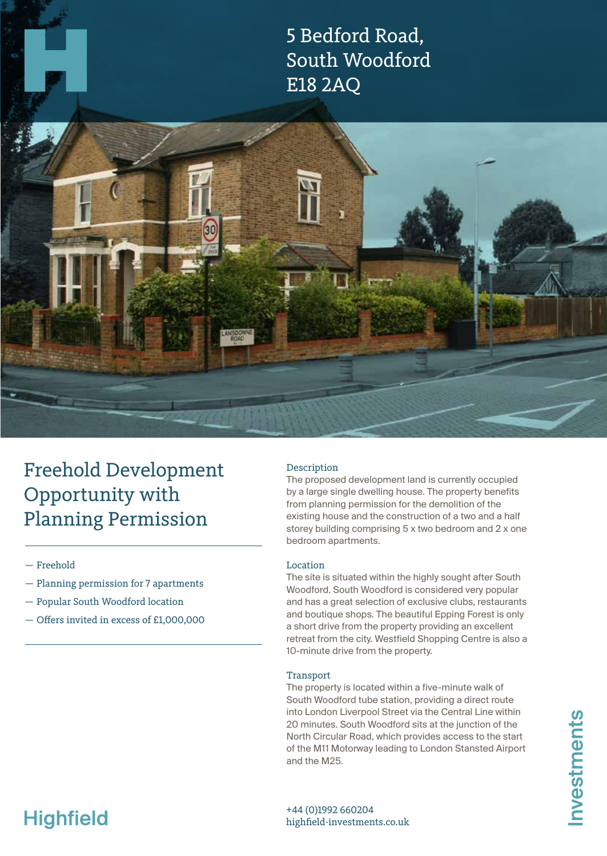5 Bedford Road, South Woodford E18 2AQ



Freehold Development Opportunity with Planning Permission

— Freehold

- Planning permission for 7 apartments
- Popular South Woodford location
- Offers invited in excess of £1,000,000

### Description

The proposed development land is currently occupied by a large single dwelling house. The property benefits from planning permission for the demolition of the existing house and the construction of a two and a half storey building comprising 5 x two bedroom and 2 x one bedroom apartments.

#### Location

The site is situated within the highly sought after South Woodford. South Woodford is considered very popular and has a great selection of exclusive clubs, restaurants and boutique shops. The beautiful Epping Forest is only a short drive from the property providing an excellent retreat from the city. Westfield Shopping Centre is also a 10-minute drive from the property.

#### **Transport**

The property is located within a five-minute walk of South Woodford tube station, providing a direct route into London Liverpool Street via the Central Line within 20 minutes. South Woodford sits at the junction of the North Circular Road, which provides access to the start of the M11 Motorway leading to London Stansted Airport and the M25.

# **Highfield**

+44 (0)1992 660204 highfield-investments.co.uk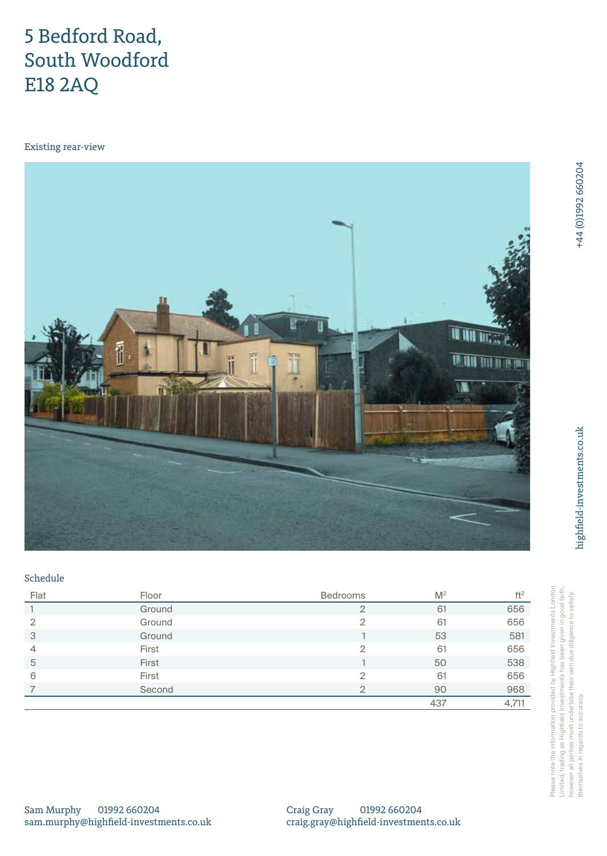# 5 Bedford Road, South Woodford E18 2AQ

Existing rear-view



# Schedule

| Flat | Floor  | <b>Bedrooms</b> | M <sup>2</sup> | ft <sup>2</sup> |
|------|--------|-----------------|----------------|-----------------|
|      | Ground |                 | 61             | 656             |
| っ    | Ground | っ               | 61             | 656             |
| 3    | Ground |                 | 53             | 581             |
| 4    | First  | 2               | 61             | 656             |
| 5    | First  |                 | 50             | 538             |
| 6    | First  | 2               | 61             | 656             |
|      | Second | ◠               | 90             | 968             |
|      |        |                 | 437            | 4,711           |